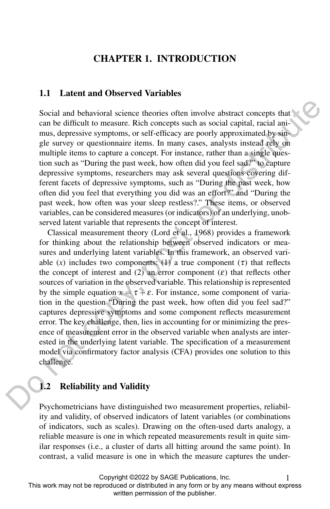# CHAPTER 1. INTRODUCTION

## 1.1 Latent and Observed Variables

Social and behavioral science theories often involve abstract concepts that can be difficult to measure. Rich concepts such as social capital, racial animus, depressive symptoms, or self-efficacy are poorly approximated by single survey or questionnaire items. In many cases, analysts instead rely on multiple items to capture a concept. For instance, rather than a single question such as "During the past week, how often did you feel sad?" to capture depressive symptoms, researchers may ask several questions covering different facets of depressive symptoms, such as "During the past week, how often did you feel that everything you did was an effort?" and "During the past week, how often was your sleep restless?." These items, or observed variables, can be considered measures (or indicators) of an underlying, unobserved latent variable that represents the concept of interest.

Classical measurement theory (Lord et al., 1968) provides a framework for thinking about the relationship between observed indicators or measures and underlying latent variables. In this framework, an observed variable  $(x)$  includes two components: (1) a true component  $(\tau)$  that reflects the concept of interest and (2) an error component ( $\varepsilon$ ) that reflects other sources of variation in the observed variable. This relationship is represented by the simple equation  $x = \tau + \varepsilon$ . For instance, some component of variation in the question "During the past week, how often did you feel sad?" captures depressive symptoms and some component reflects measurement error. The key challenge, then, lies in accounting for or minimizing the presence of measurement error in the observed variable when analysts are interested in the underlying latent variable. The specification of a measurement model via confirmatory factor analysis (CFA) provides one solution to this challenge. Social and behavioral science theories often involve abstract concepts that<br>
can be difficult to measure. Rich concepts such as social capital, needa any<br>
mus, depressive symptoms, or self-efficiency are poorly approximat

## 1.2 Reliability and Validity

Psychometricians have distinguished two measurement properties, reliability and validity, of observed indicators of latent variables (or combinations of indicators, such as scales). Drawing on the often-used darts analogy, a reliable measure is one in which repeated measurements result in quite similar responses (i.e., a cluster of darts all hitting around the same point). In contrast, a valid measure is one in which the measure captures the under-

Copyright ©2022 by SAGE Publications, Inc. 1 This work may not be reproduced or distributed in any form or by any means without express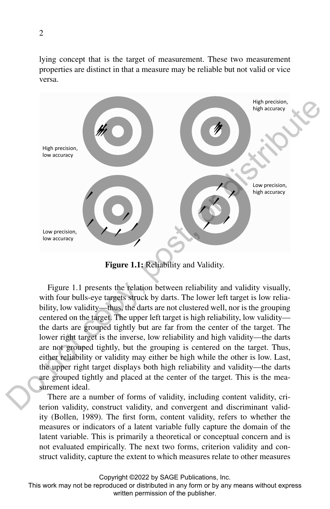lying concept that is the target of measurement. These two measurement properties are distinct in that a measure may be reliable but not valid or vice versa.



Figure 1.1: Reliability and Validity.

Figure 1.1 presents the relation between reliability and validity visually, with four bulls-eye targets struck by darts. The lower left target is low reliability, low validity—thus, the darts are not clustered well, nor is the grouping centered on the target. The upper left target is high reliability, low validity the darts are grouped tightly but are far from the center of the target. The lower right target is the inverse, low reliability and high validity—the darts are not grouped tightly, but the grouping is centered on the target. Thus, either reliability or validity may either be high while the other is low. Last, the upper right target displays both high reliability and validity—the darts are grouped tightly and placed at the center of the target. This is the measurement ideal.

There are a number of forms of validity, including content validity, criterion validity, construct validity, and convergent and discriminant validity (Bollen, 1989). The first form, content validity, refers to whether the measures or indicators of a latent variable fully capture the domain of the latent variable. This is primarily a theoretical or conceptual concern and is not evaluated empirically. The next two forms, criterion validity and construct validity, capture the extent to which measures relate to other measures

Copyright ©2022 by SAGE Publications, Inc.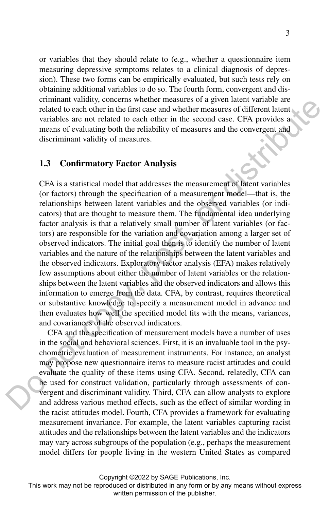or variables that they should relate to (e.g., whether a questionnaire item measuring depressive symptoms relates to a clinical diagnosis of depression). These two forms can be empirically evaluated, but such tests rely on obtaining additional variables to do so. The fourth form, convergent and discriminant validity, concerns whether measures of a given latent variable are related to each other in the first case and whether measures of different latent variables are not related to each other in the second case. CFA provides a means of evaluating both the reliability of measures and the convergent and discriminant validity of measures.

#### 1.3 Confirmatory Factor Analysis

CFA is a statistical model that addresses the measurement of latent variables (or factors) through the specification of a measurement model—that is, the relationships between latent variables and the observed variables (or indicators) that are thought to measure them. The fundamental idea underlying factor analysis is that a relatively small number of latent variables (or factors) are responsible for the variation and covariation among a larger set of observed indicators. The initial goal then is to identify the number of latent variables and the nature of the relationships between the latent variables and the observed indicators. Exploratory factor analysis (EFA) makes relatively few assumptions about either the number of latent variables or the relationships between the latent variables and the observed indicators and allows this information to emerge from the data. CFA, by contrast, requires theoretical or substantive knowledge to specify a measurement model in advance and then evaluates how well the specified model fits with the means, variances, and covariances of the observed indicators. community concelains we written the second one a given network of the publisher. The proposition of the publisher and the publisher and the publisher and the publisher. The second case. CFA provides a mean of evidentially

CFA and the specification of measurement models have a number of uses in the social and behavioral sciences. First, it is an invaluable tool in the psychometric evaluation of measurement instruments. For instance, an analyst may propose new questionnaire items to measure racist attitudes and could evaluate the quality of these items using CFA. Second, relatedly, CFA can be used for construct validation, particularly through assessments of convergent and discriminant validity. Third, CFA can allow analysts to explore and address various method effects, such as the effect of similar wording in the racist attitudes model. Fourth, CFA provides a framework for evaluating measurement invariance. For example, the latent variables capturing racist attitudes and the relationships between the latent variables and the indicators may vary across subgroups of the population (e.g., perhaps the measurement model differs for people living in the western United States as compared

Copyright ©2022 by SAGE Publications, Inc.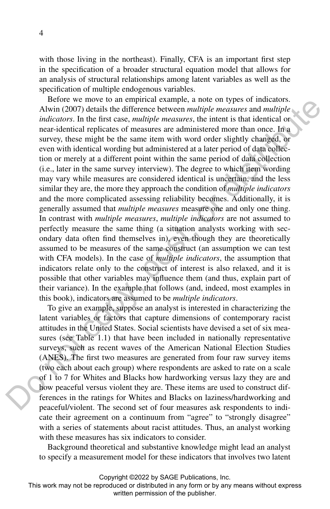with those living in the northeast). Finally, CFA is an important first step in the specification of a broader structural equation model that allows for an analysis of structural relationships among latent variables as well as the specification of multiple endogenous variables.

Before we move to an empirical example, a note on types of indicators. Alwin (2007) details the difference between *multiple measures* and *multiple indicators*. In the first case, *multiple measures*, the intent is that identical or near-identical replicates of measures are administered more than once. In a survey, these might be the same item with word order slightly changed, or even with identical wording but administered at a later period of data collection or merely at a different point within the same period of data collection (i.e., later in the same survey interview). The degree to which item wording may vary while measures are considered identical is uncertain, and the less similar they are, the more they approach the condition of *multiple indicators* and the more complicated assessing reliability becomes. Additionally, it is generally assumed that *multiple measures* measure one and only one thing. In contrast with *multiple measures*, *multiple indicators* are not assumed to perfectly measure the same thing (a situation analysts working with secondary data often find themselves in), even though they are theoretically assumed to be measures of the same construct (an assumption we can test with CFA models). In the case of *multiple indicators*, the assumption that indicators relate only to the construct of interest is also relaxed, and it is possible that other variables may influence them (and thus, explain part of their variance). In the example that follows (and, indeed, most examples in this book), indicators are assumed to be *multiple indicators*. Hence we have to impleme example, a note out given the publisher. A both  $(2007)$  details the difference between multiple measures and multiple indicators. In the first case, multiple measures and multiple and the main te

To give an example, suppose an analyst is interested in characterizing the latent variables or factors that capture dimensions of contemporary racist attitudes in the United States. Social scientists have devised a set of six measures (see Table 1.1) that have been included in nationally representative surveys, such as recent waves of the American National Election Studies (ANES). The first two measures are generated from four raw survey items (two each about each group) where respondents are asked to rate on a scale of 1 to 7 for Whites and Blacks how hardworking versus lazy they are and how peaceful versus violent they are. These items are used to construct differences in the ratings for Whites and Blacks on laziness/hardworking and peaceful/violent. The second set of four measures ask respondents to indicate their agreement on a continuum from "agree" to "strongly disagree" with a series of statements about racist attitudes. Thus, an analyst working with these measures has six indicators to consider.

Background theoretical and substantive knowledge might lead an analyst to specify a measurement model for these indicators that involves two latent

Copyright ©2022 by SAGE Publications, Inc.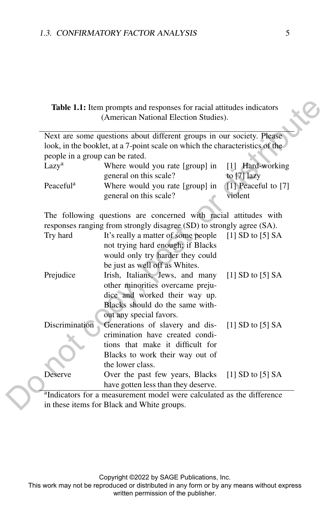| Table 1.1: Item prompts and responses for racial attitudes indicators<br>(American National Election Studies).                  |                                                                                                                                                                                                                                                           |                                   |
|---------------------------------------------------------------------------------------------------------------------------------|-----------------------------------------------------------------------------------------------------------------------------------------------------------------------------------------------------------------------------------------------------------|-----------------------------------|
| people in a group can be rated.<br>Lazy <sup>a</sup>                                                                            | Next are some questions about different groups in our society. Please<br>look, in the booklet, at a 7-point scale on which the characteristics of the<br>Where would you rate [group] in<br>general on this scale?                                        | [1] Hard-working<br>to $[7]$ lazy |
| Peaceful <sup>a</sup>                                                                                                           | Where would you rate [group] in<br>general on this scale?                                                                                                                                                                                                 | [1] Peaceful to [7]<br>violent    |
| Try hard                                                                                                                        | The following questions are concerned with racial attitudes with<br>responses ranging from strongly disagree (SD) to strongly agree (SA).<br>It's really a matter of some people<br>not trying hard enough; if Blacks<br>would only try harder they could | [1] SD to $[5]$ SA                |
| Prejudice                                                                                                                       | be just as well off as Whites.<br>Irish, Italians, Jews, and many<br>other minorities overcame preju-<br>dice and worked their way up.<br>Blacks should do the same with-<br>out any special favors.                                                      | [1] SD to $[5]$ SA                |
| Discrimination                                                                                                                  | Generations of slavery and dis-<br>crimination have created condi-<br>tions that make it difficult for<br>Blacks to work their way out of<br>the lower class.                                                                                             | [1] SD to $[5]$ SA                |
| Deserve                                                                                                                         | Over the past few years, Blacks<br>have gotten less than they deserve.                                                                                                                                                                                    | [1] SD to $[5]$ SA                |
| <sup>a</sup> Indicators for a measurement model were calculated as the difference<br>in these items for Black and White groups. |                                                                                                                                                                                                                                                           |                                   |
|                                                                                                                                 |                                                                                                                                                                                                                                                           |                                   |
|                                                                                                                                 | Copyright @2022 by SAGE Publications, Inc.<br>This work may not be reproduced or distributed in any form or by any means without express<br>written permission of the publisher.                                                                          |                                   |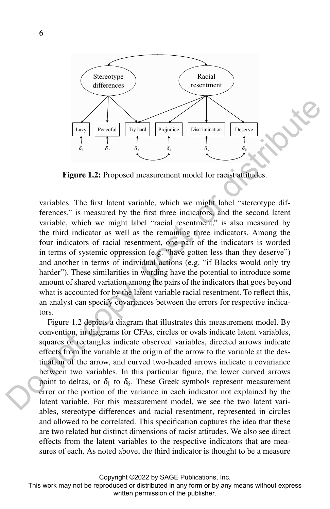

Figure 1.2: Proposed measurement model for racist attitudes.

variables. The first latent variable, which we might label "stereotype differences," is measured by the first three indicators, and the second latent variable, which we might label "racial resentment," is also measured by the third indicator as well as the remaining three indicators. Among the four indicators of racial resentment, one pair of the indicators is worded in terms of systemic oppression (e.g. "have gotten less than they deserve") and another in terms of individual actions (e.g. "if Blacks would only try harder"). These similarities in wording have the potential to introduce some amount of shared variation among the pairs of the indicators that goes beyond what is accounted for by the latent variable racial resentment. To reflect this, an analyst can specify covariances between the errors for respective indicators.

Figure 1.2 depicts a diagram that illustrates this measurement model. By convention, in diagrams for CFAs, circles or ovals indicate latent variables, squares or rectangles indicate observed variables, directed arrows indicate effects from the variable at the origin of the arrow to the variable at the destination of the arrow, and curved two-headed arrows indicate a covariance between two variables. In this particular figure, the lower curved arrows point to deltas, or  $\delta_1$  to  $\delta_6$ . These Greek symbols represent measurement error or the portion of the variance in each indicator not explained by the latent variable. For this measurement model, we see the two latent variables, stereotype differences and racial resentment, represented in circles and allowed to be correlated. This specification captures the idea that these are two related but distinct dimensions of racist attitudes. We also see direct effects from the latent variables to the respective indicators that are measures of each. As noted above, the third indicator is thought to be a measure Examples in distributed in the publishering of the publishering of the publisher.<br>The publishers of the publishering of the publishering of the publishering of the publisher. The first latent variable, which we might labe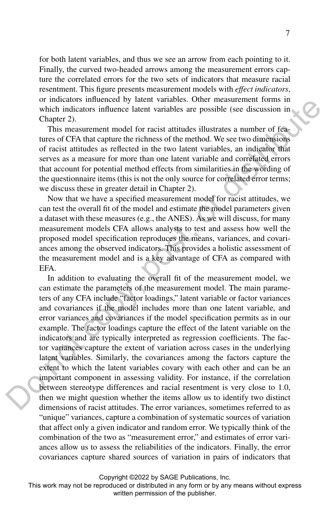for both latent variables, and thus we see an arrow from each pointing to it. Finally, the curved two-headed arrows among the measurement errors capture the correlated errors for the two sets of indicators that measure racial resentment. This figure presents measurement models with *effect indicators*, or indicators influenced by latent variables. Other measurement forms in which indicators influence latent variables are possible (see discussion in Chapter 2).

This measurement model for racist attitudes illustrates a number of features of CFA that capture the richness of the method. We see two dimensions of racist attitudes as reflected in the two latent variables, an indicator that serves as a measure for more than one latent variable and correlated errors that account for potential method effects from similarities in the wording of the questionnaire items (this is not the only source for correlated error terms; we discuss these in greater detail in Chapter 2).

Now that we have a specified measurement model for racist attitudes, we can test the overall fit of the model and estimate the model parameters given a dataset with these measures (e.g., the ANES). As we will discuss, for many measurement models CFA allows analysts to test and assess how well the proposed model specification reproduces the means, variances, and covariances among the observed indicators. This provides a holistic assessment of the measurement model and is a key advantage of CFA as compared with EFA.

In addition to evaluating the overall fit of the measurement model, we can estimate the parameters of the measurement model. The main parameters of any CFA include "factor loadings," latent variable or factor variances and covariances if the model includes more than one latent variable, and error variances and covariances if the model specification permits as in our example. The factor loadings capture the effect of the latent variable on the indicators and are typically interpreted as regression coefficients. The factor variances capture the extent of variation across cases in the underlying latent variables. Similarly, the covariances among the factors capture the extent to which the latent variables covary with each other and can be an important component in assessing validity. For instance, if the correlation between stereotype differences and racial resentment is very close to 1.0, then we might question whether the items allow us to identify two distinct dimensions of racist attitudes. The error variances, sometimes referred to as "unique" variances, capture a combination of systematic sources of variation that affect only a given indicator and random error. We typically think of the combination of the two as "measurement error," and estimates of error variances allow us to assess the reliabilities of the indicators. Finally, the error covariances capture shared sources of variation in pairs of indicators that or machinary simulation to puller variances. One measurement to may be the exactly denoted for the publisher. 2). This measurement model for recist attitudes illustrates a number of features of the publisher. This measure

Copyright ©2022 by SAGE Publications, Inc.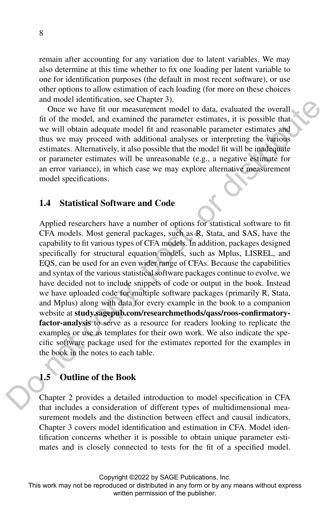remain after accounting for any variation due to latent variables. We may also determine at this time whether to fix one loading per latent variable to one for identification purposes (the default in most recent software), or use other options to allow estimation of each loading (for more on these choices and model identification, see Chapter 3).

Once we have fit our measurement model to data, evaluated the overall fit of the model, and examined the parameter estimates, it is possible that we will obtain adequate model fit and reasonable parameter estimates and thus we may proceed with additional analyses or interpreting the various estimates. Alternatively, it also possible that the model fit will be inadequate or parameter estimates will be unreasonable (e.g., a negative estimate for an error variance), in which case we may explore alternative measurement model specifications.

### 1.4 Statistical Software and Code

Applied researchers have a number of options for statistical software to fit CFA models. Most general packages, such as R, Stata, and SAS, have the capability to fit various types of CFA models. In addition, packages designed specifically for structural equation models, such as Mplus, LISREL, and EQS, can be used for an even wider range of CFAs. Because the capabilities and syntax of the various statistical software packages continue to evolve, we have decided not to include snippets of code or output in the book. Instead we have uploaded code for multiple software packages (primarily R, Stata, and Mplus) along with data for every example in the book to a companion website at study.sagepub.com/researchmethods/qass/roos-confirmatoryfactor-analysis to serve as a resource for readers looking to replicate the examples or use as templates for their own work. We also indicate the specific software package used for the estimates reported for the examples in the book in the notes to each table. main these the condels, and securities the condels of the procedure and the publisher. It is possible that the model it is the publisher. It is possible that the model fit will be inacted with the set may proceed with the

### 1.5 Outline of the Book

Chapter 2 provides a detailed introduction to model specification in CFA that includes a consideration of different types of multidimensional measurement models and the distinction between effect and causal indicators. Chapter 3 covers model identification and estimation in CFA. Model identification concerns whether it is possible to obtain unique parameter estimates and is closely connected to tests for the fit of a specified model.

Copyright ©2022 by SAGE Publications, Inc.